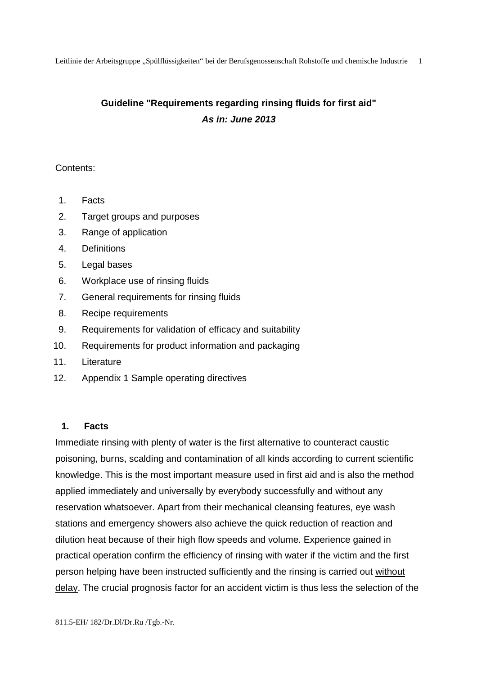# **Guideline "Requirements regarding rinsing fluids for first aid" As in: June 2013**

# Contents:

- 1. Facts
- 2. Target groups and purposes
- 3. Range of application
- 4. Definitions
- 5. Legal bases
- 6. Workplace use of rinsing fluids
- 7. General requirements for rinsing fluids
- 8. Recipe requirements
- 9. Requirements for validation of efficacy and suitability
- 10. Requirements for product information and packaging
- 11. Literature
- 12. Appendix 1 Sample operating directives

# **1. Facts**

Immediate rinsing with plenty of water is the first alternative to counteract caustic poisoning, burns, scalding and contamination of all kinds according to current scientific knowledge. This is the most important measure used in first aid and is also the method applied immediately and universally by everybody successfully and without any reservation whatsoever. Apart from their mechanical cleansing features, eye wash stations and emergency showers also achieve the quick reduction of reaction and dilution heat because of their high flow speeds and volume. Experience gained in practical operation confirm the efficiency of rinsing with water if the victim and the first person helping have been instructed sufficiently and the rinsing is carried out without delay. The crucial prognosis factor for an accident victim is thus less the selection of the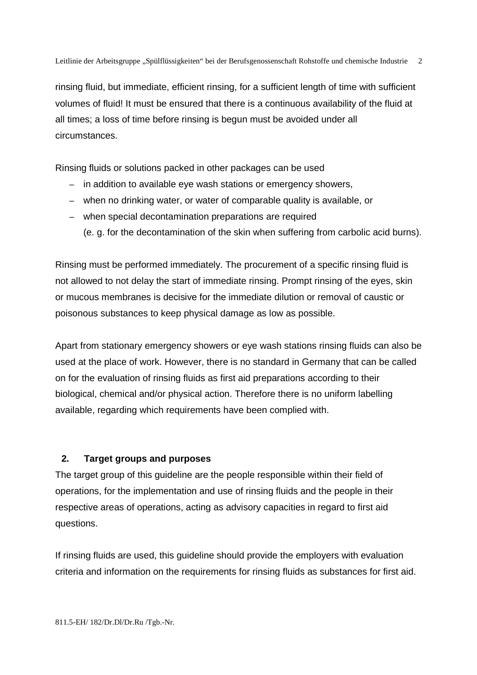rinsing fluid, but immediate, efficient rinsing, for a sufficient length of time with sufficient volumes of fluid! It must be ensured that there is a continuous availability of the fluid at all times; a loss of time before rinsing is begun must be avoided under all circumstances.

Rinsing fluids or solutions packed in other packages can be used

- in addition to available eye wash stations or emergency showers,
- when no drinking water, or water of comparable quality is available, or
- when special decontamination preparations are required
	- (e. g. for the decontamination of the skin when suffering from carbolic acid burns).

Rinsing must be performed immediately. The procurement of a specific rinsing fluid is not allowed to not delay the start of immediate rinsing. Prompt rinsing of the eyes, skin or mucous membranes is decisive for the immediate dilution or removal of caustic or poisonous substances to keep physical damage as low as possible.

Apart from stationary emergency showers or eye wash stations rinsing fluids can also be used at the place of work. However, there is no standard in Germany that can be called on for the evaluation of rinsing fluids as first aid preparations according to their biological, chemical and/or physical action. Therefore there is no uniform labelling available, regarding which requirements have been complied with.

# **2. Target groups and purposes**

The target group of this guideline are the people responsible within their field of operations, for the implementation and use of rinsing fluids and the people in their respective areas of operations, acting as advisory capacities in regard to first aid questions.

If rinsing fluids are used, this guideline should provide the employers with evaluation criteria and information on the requirements for rinsing fluids as substances for first aid.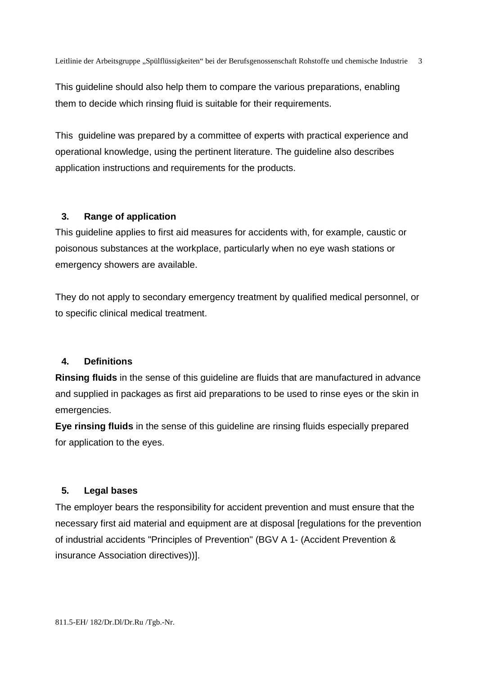This guideline should also help them to compare the various preparations, enabling them to decide which rinsing fluid is suitable for their requirements.

This guideline was prepared by a committee of experts with practical experience and operational knowledge, using the pertinent literature. The guideline also describes application instructions and requirements for the products.

# **3. Range of application**

This guideline applies to first aid measures for accidents with, for example, caustic or poisonous substances at the workplace, particularly when no eye wash stations or emergency showers are available.

They do not apply to secondary emergency treatment by qualified medical personnel, or to specific clinical medical treatment.

# **4. Definitions**

**Rinsing fluids** in the sense of this guideline are fluids that are manufactured in advance and supplied in packages as first aid preparations to be used to rinse eyes or the skin in emergencies.

**Eye rinsing fluids** in the sense of this guideline are rinsing fluids especially prepared for application to the eyes.

# **5. Legal bases**

The employer bears the responsibility for accident prevention and must ensure that the necessary first aid material and equipment are at disposal [regulations for the prevention of industrial accidents "Principles of Prevention" (BGV A 1- (Accident Prevention & insurance Association directives))].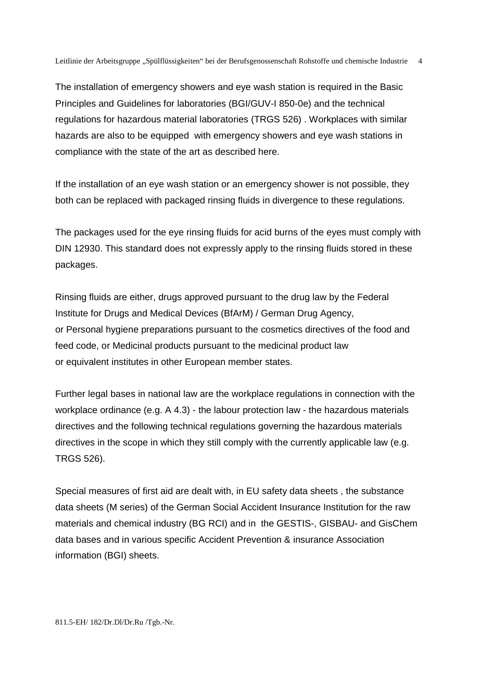The installation of emergency showers and eye wash station is required in the Basic Principles and Guidelines for laboratories (BGI/GUV-I 850-0e) and the technical regulations for hazardous material laboratories (TRGS 526) . Workplaces with similar hazards are also to be equipped with emergency showers and eye wash stations in compliance with the state of the art as described here.

If the installation of an eye wash station or an emergency shower is not possible, they both can be replaced with packaged rinsing fluids in divergence to these regulations.

The packages used for the eye rinsing fluids for acid burns of the eyes must comply with DIN 12930. This standard does not expressly apply to the rinsing fluids stored in these packages.

Rinsing fluids are either, drugs approved pursuant to the drug law by the Federal Institute for Drugs and Medical Devices (BfArM) / German Drug Agency, or Personal hygiene preparations pursuant to the cosmetics directives of the food and feed code, or Medicinal products pursuant to the medicinal product law or equivalent institutes in other European member states.

Further legal bases in national law are the workplace regulations in connection with the workplace ordinance (e.g. A 4.3) - the labour protection law - the hazardous materials directives and the following technical regulations governing the hazardous materials directives in the scope in which they still comply with the currently applicable law (e.g. TRGS 526).

Special measures of first aid are dealt with, in EU safety data sheets , the substance data sheets (M series) of the German Social Accident Insurance Institution for the raw materials and chemical industry (BG RCI) and in the GESTIS-, GISBAU- and GisChem data bases and in various specific Accident Prevention & insurance Association information (BGI) sheets.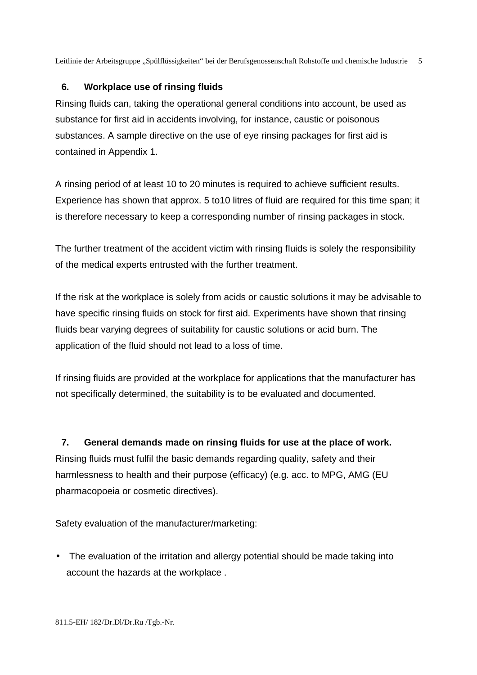# **6. Workplace use of rinsing fluids**

Rinsing fluids can, taking the operational general conditions into account, be used as substance for first aid in accidents involving, for instance, caustic or poisonous substances. A sample directive on the use of eye rinsing packages for first aid is contained in Appendix 1.

A rinsing period of at least 10 to 20 minutes is required to achieve sufficient results. Experience has shown that approx. 5 to10 litres of fluid are required for this time span; it is therefore necessary to keep a corresponding number of rinsing packages in stock.

The further treatment of the accident victim with rinsing fluids is solely the responsibility of the medical experts entrusted with the further treatment.

If the risk at the workplace is solely from acids or caustic solutions it may be advisable to have specific rinsing fluids on stock for first aid. Experiments have shown that rinsing fluids bear varying degrees of suitability for caustic solutions or acid burn. The application of the fluid should not lead to a loss of time.

If rinsing fluids are provided at the workplace for applications that the manufacturer has not specifically determined, the suitability is to be evaluated and documented.

**7. General demands made on rinsing fluids for use at the place of work.**  Rinsing fluids must fulfil the basic demands regarding quality, safety and their harmlessness to health and their purpose (efficacy) (e.g. acc. to MPG, AMG (EU pharmacopoeia or cosmetic directives).

Safety evaluation of the manufacturer/marketing:

• The evaluation of the irritation and allergy potential should be made taking into account the hazards at the workplace .

811.5-EH/ 182/Dr.Dl/Dr.Ru /Tgb.-Nr.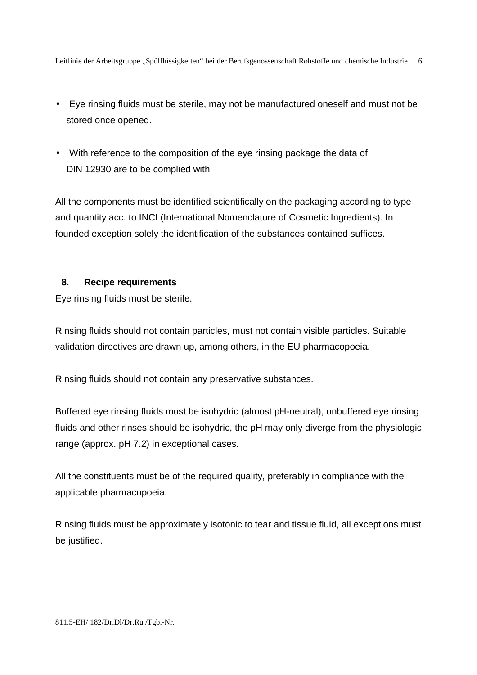- Eye rinsing fluids must be sterile, may not be manufactured oneself and must not be stored once opened.
- With reference to the composition of the eye rinsing package the data of DIN 12930 are to be complied with

All the components must be identified scientifically on the packaging according to type and quantity acc. to INCI (International Nomenclature of Cosmetic Ingredients). In founded exception solely the identification of the substances contained suffices.

#### **8. Recipe requirements**

Eye rinsing fluids must be sterile.

Rinsing fluids should not contain particles, must not contain visible particles. Suitable validation directives are drawn up, among others, in the EU pharmacopoeia.

Rinsing fluids should not contain any preservative substances.

Buffered eye rinsing fluids must be isohydric (almost pH-neutral), unbuffered eye rinsing fluids and other rinses should be isohydric, the pH may only diverge from the physiologic range (approx. pH 7.2) in exceptional cases.

All the constituents must be of the required quality, preferably in compliance with the applicable pharmacopoeia.

Rinsing fluids must be approximately isotonic to tear and tissue fluid, all exceptions must be justified.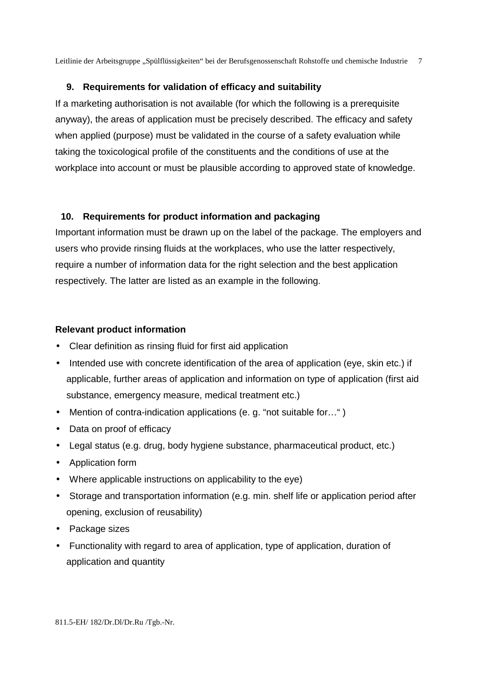# **9. Requirements for validation of efficacy and suitability**

If a marketing authorisation is not available (for which the following is a prerequisite anyway), the areas of application must be precisely described. The efficacy and safety when applied (purpose) must be validated in the course of a safety evaluation while taking the toxicological profile of the constituents and the conditions of use at the workplace into account or must be plausible according to approved state of knowledge.

# **10. Requirements for product information and packaging**

Important information must be drawn up on the label of the package. The employers and users who provide rinsing fluids at the workplaces, who use the latter respectively, require a number of information data for the right selection and the best application respectively. The latter are listed as an example in the following.

# **Relevant product information**

- Clear definition as rinsing fluid for first aid application
- Intended use with concrete identification of the area of application (eye, skin etc.) if applicable, further areas of application and information on type of application (first aid substance, emergency measure, medical treatment etc.)
- Mention of contra-indication applications (e. g. "not suitable for...")
- Data on proof of efficacy
- Legal status (e.g. drug, body hygiene substance, pharmaceutical product, etc.)
- Application form
- Where applicable instructions on applicability to the eye)
- Storage and transportation information (e.g. min. shelf life or application period after opening, exclusion of reusability)
- Package sizes
- Functionality with regard to area of application, type of application, duration of application and quantity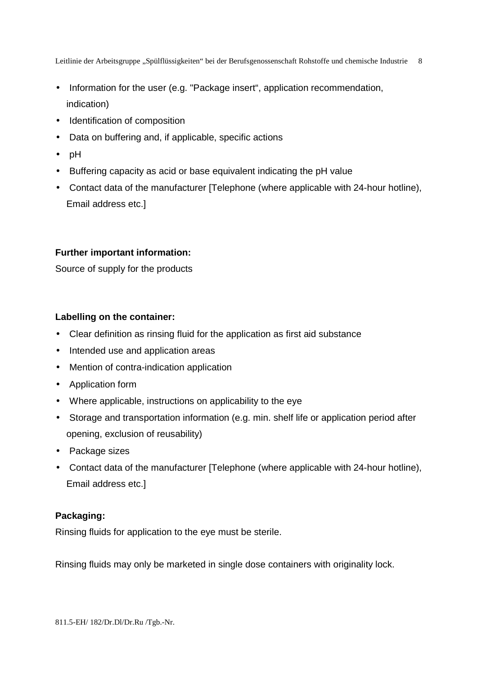- Information for the user (e.g. "Package insert", application recommendation, indication)
- Identification of composition
- Data on buffering and, if applicable, specific actions
- pH
- Buffering capacity as acid or base equivalent indicating the pH value
- Contact data of the manufacturer [Telephone (where applicable with 24-hour hotline), Email address etc.]

#### **Further important information:**

Source of supply for the products

#### **Labelling on the container:**

- Clear definition as rinsing fluid for the application as first aid substance
- Intended use and application areas
- Mention of contra-indication application
- Application form
- Where applicable, instructions on applicability to the eye
- Storage and transportation information (e.g. min. shelf life or application period after opening, exclusion of reusability)
- Package sizes
- Contact data of the manufacturer [Telephone (where applicable with 24-hour hotline), Email address etc.]

# **Packaging:**

Rinsing fluids for application to the eye must be sterile.

Rinsing fluids may only be marketed in single dose containers with originality lock.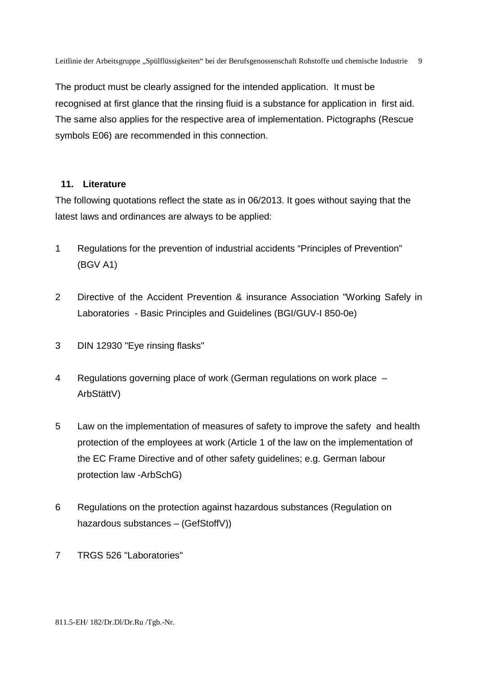The product must be clearly assigned for the intended application. It must be recognised at first glance that the rinsing fluid is a substance for application in first aid. The same also applies for the respective area of implementation. Pictographs (Rescue symbols E06) are recommended in this connection.

# **11. Literature**

The following quotations reflect the state as in 06/2013. It goes without saying that the latest laws and ordinances are always to be applied:

- 1 Regulations for the prevention of industrial accidents "Principles of Prevention" (BGV A1)
- 2 Directive of the Accident Prevention & insurance Association "Working Safely in Laboratories - Basic Principles and Guidelines (BGI/GUV-I 850-0e)
- 3 DIN 12930 "Eye rinsing flasks"
- 4 Regulations governing place of work (German regulations on work place ArbStättV)
- 5 Law on the implementation of measures of safety to improve the safety and health protection of the employees at work (Article 1 of the law on the implementation of the EC Frame Directive and of other safety guidelines; e.g. German labour protection law -ArbSchG)
- 6 Regulations on the protection against hazardous substances (Regulation on hazardous substances – (GefStoffV))
- 7 TRGS 526 "Laboratories"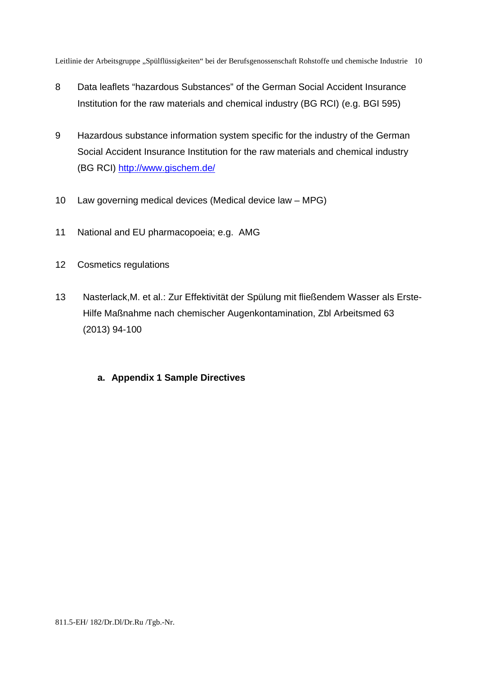- 8 Data leaflets "hazardous Substances" of the German Social Accident Insurance Institution for the raw materials and chemical industry (BG RCI) (e.g. BGI 595)
- 9 Hazardous substance information system specific for the industry of the German Social Accident Insurance Institution for the raw materials and chemical industry (BG RCI) http://www.gischem.de/
- 10 Law governing medical devices (Medical device law MPG)
- 11 National and EU pharmacopoeia; e.g. AMG
- 12 Cosmetics regulations
- 13 Nasterlack,M. et al.: Zur Effektivität der Spülung mit fließendem Wasser als Erste- Hilfe Maßnahme nach chemischer Augenkontamination, Zbl Arbeitsmed 63 (2013) 94-100
	- **a. Appendix 1 Sample Directives**